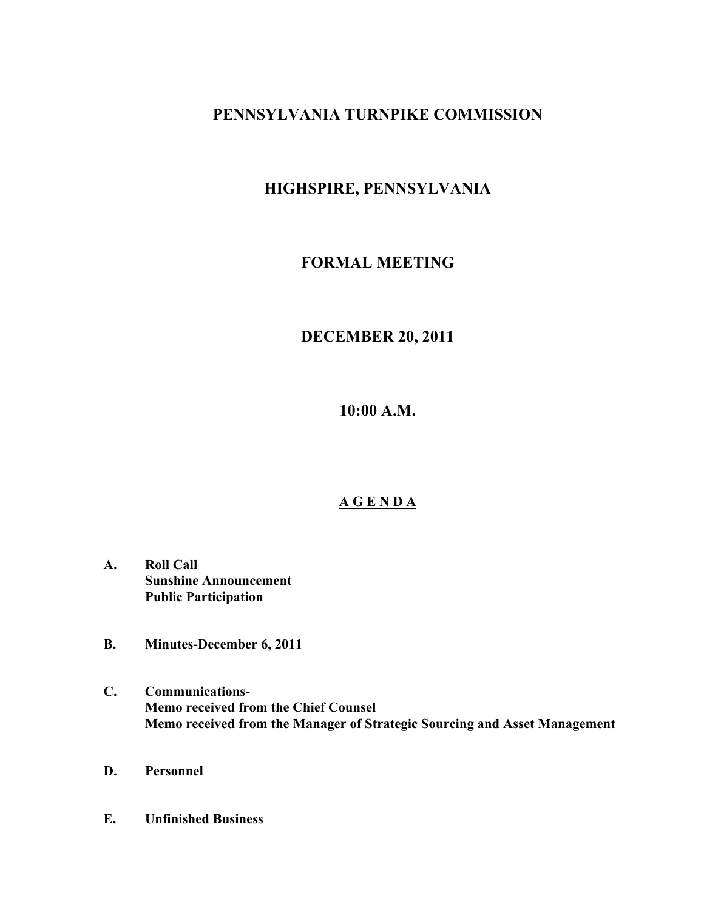# **PENNSYLVANIA TURNPIKE COMMISSION**

# **HIGHSPIRE, PENNSYLVANIA**

# **FORMAL MEETING**

# **DECEMBER 20, 2011**

**10:00 A.M.**

# **A G E N D A**

- **A. Roll Call Sunshine Announcement Public Participation**
- **B. Minutes-December 6, 2011**
- **C. Communications-Memo received from the Chief Counsel Memo received from the Manager of Strategic Sourcing and Asset Management**
- **D. Personnel**
- **E. Unfinished Business**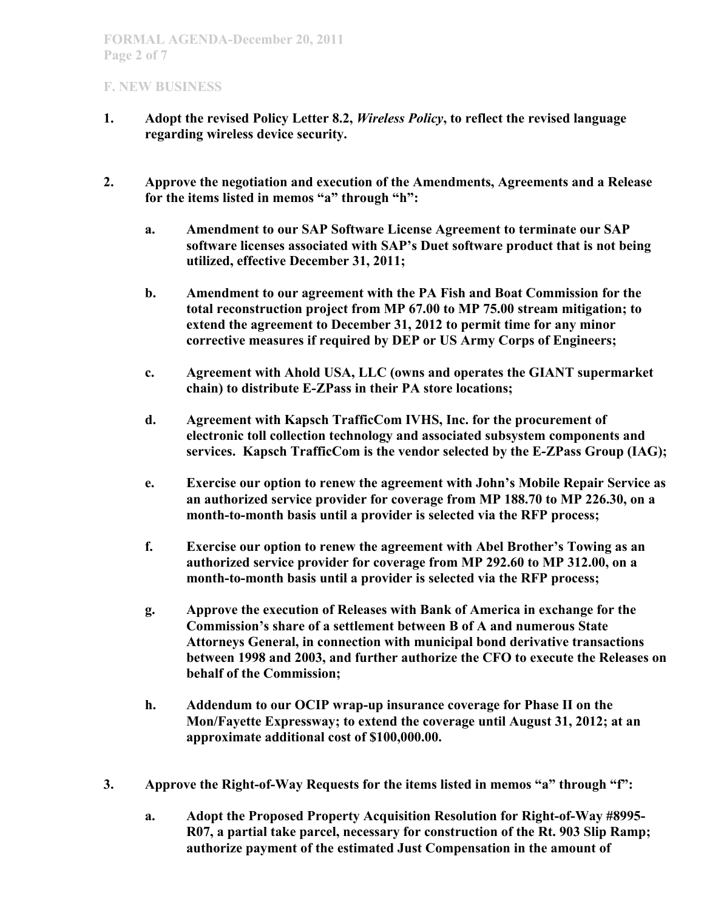- **1. Adopt the revised Policy Letter 8.2,** *Wireless Policy***, to reflect the revised language regarding wireless device security.**
- **2. Approve the negotiation and execution of the Amendments, Agreements and a Release for the items listed in memos "a" through "h":**
	- **a. Amendment to our SAP Software License Agreement to terminate our SAP software licenses associated with SAP's Duet software product that is not being utilized, effective December 31, 2011;**
	- **b. Amendment to our agreement with the PA Fish and Boat Commission for the total reconstruction project from MP 67.00 to MP 75.00 stream mitigation; to extend the agreement to December 31, 2012 to permit time for any minor corrective measures if required by DEP or US Army Corps of Engineers;**
	- **c. Agreement with Ahold USA, LLC (owns and operates the GIANT supermarket chain) to distribute E-ZPass in their PA store locations;**
	- **d. Agreement with Kapsch TrafficCom IVHS, Inc. for the procurement of electronic toll collection technology and associated subsystem components and services. Kapsch TrafficCom is the vendor selected by the E-ZPass Group (IAG);**
	- **e. Exercise our option to renew the agreement with John's Mobile Repair Service as an authorized service provider for coverage from MP 188.70 to MP 226.30, on a month-to-month basis until a provider is selected via the RFP process;**
	- **f. Exercise our option to renew the agreement with Abel Brother's Towing as an authorized service provider for coverage from MP 292.60 to MP 312.00, on a month-to-month basis until a provider is selected via the RFP process;**
	- **g. Approve the execution of Releases with Bank of America in exchange for the Commission's share of a settlement between B of A and numerous State Attorneys General, in connection with municipal bond derivative transactions between 1998 and 2003, and further authorize the CFO to execute the Releases on behalf of the Commission;**
	- **h. Addendum to our OCIP wrap-up insurance coverage for Phase II on the Mon/Fayette Expressway; to extend the coverage until August 31, 2012; at an approximate additional cost of \$100,000.00.**
- **3. Approve the Right-of-Way Requests for the items listed in memos "a" through "f":**
	- **a. Adopt the Proposed Property Acquisition Resolution for Right-of-Way #8995- R07, a partial take parcel, necessary for construction of the Rt. 903 Slip Ramp; authorize payment of the estimated Just Compensation in the amount of**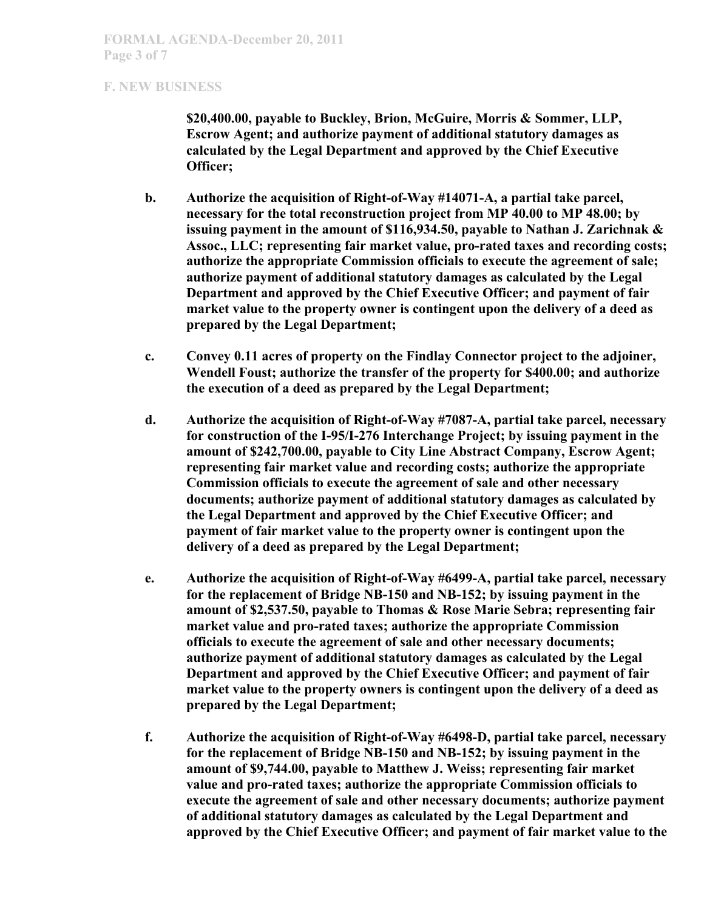**\$20,400.00, payable to Buckley, Brion, McGuire, Morris & Sommer, LLP, Escrow Agent; and authorize payment of additional statutory damages as calculated by the Legal Department and approved by the Chief Executive Officer;**

- **b. Authorize the acquisition of Right-of-Way #14071-A, a partial take parcel, necessary for the total reconstruction project from MP 40.00 to MP 48.00; by issuing payment in the amount of \$116,934.50, payable to Nathan J. Zarichnak & Assoc., LLC; representing fair market value, pro-rated taxes and recording costs; authorize the appropriate Commission officials to execute the agreement of sale; authorize payment of additional statutory damages as calculated by the Legal Department and approved by the Chief Executive Officer; and payment of fair market value to the property owner is contingent upon the delivery of a deed as prepared by the Legal Department;**
- **c. Convey 0.11 acres of property on the Findlay Connector project to the adjoiner, Wendell Foust; authorize the transfer of the property for \$400.00; and authorize the execution of a deed as prepared by the Legal Department;**
- **d. Authorize the acquisition of Right-of-Way #7087-A, partial take parcel, necessary for construction of the I-95/I-276 Interchange Project; by issuing payment in the amount of \$242,700.00, payable to City Line Abstract Company, Escrow Agent; representing fair market value and recording costs; authorize the appropriate Commission officials to execute the agreement of sale and other necessary documents; authorize payment of additional statutory damages as calculated by the Legal Department and approved by the Chief Executive Officer; and payment of fair market value to the property owner is contingent upon the delivery of a deed as prepared by the Legal Department;**
- **e. Authorize the acquisition of Right-of-Way #6499-A, partial take parcel, necessary for the replacement of Bridge NB-150 and NB-152; by issuing payment in the amount of \$2,537.50, payable to Thomas & Rose Marie Sebra; representing fair market value and pro-rated taxes; authorize the appropriate Commission officials to execute the agreement of sale and other necessary documents; authorize payment of additional statutory damages as calculated by the Legal Department and approved by the Chief Executive Officer; and payment of fair market value to the property owners is contingent upon the delivery of a deed as prepared by the Legal Department;**
- **f. Authorize the acquisition of Right-of-Way #6498-D, partial take parcel, necessary for the replacement of Bridge NB-150 and NB-152; by issuing payment in the amount of \$9,744.00, payable to Matthew J. Weiss; representing fair market value and pro-rated taxes; authorize the appropriate Commission officials to execute the agreement of sale and other necessary documents; authorize payment of additional statutory damages as calculated by the Legal Department and approved by the Chief Executive Officer; and payment of fair market value to the**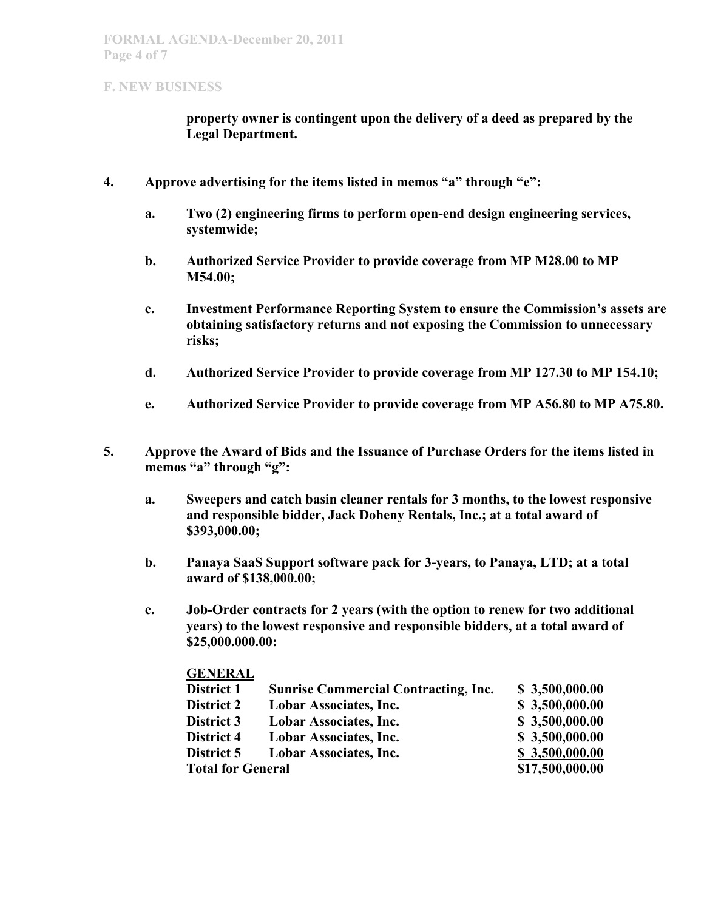**property owner is contingent upon the delivery of a deed as prepared by the Legal Department.**

- **4. Approve advertising for the items listed in memos "a" through "e":**
	- **a. Two (2) engineering firms to perform open-end design engineering services, systemwide;**
	- **b. Authorized Service Provider to provide coverage from MP M28.00 to MP M54.00;**
	- **c. Investment Performance Reporting System to ensure the Commission's assets are obtaining satisfactory returns and not exposing the Commission to unnecessary risks;**
	- **d. Authorized Service Provider to provide coverage from MP 127.30 to MP 154.10;**
	- **e. Authorized Service Provider to provide coverage from MP A56.80 to MP A75.80.**
- **5. Approve the Award of Bids and the Issuance of Purchase Orders for the items listed in memos "a" through "g":**
	- **a. Sweepers and catch basin cleaner rentals for 3 months, to the lowest responsive and responsible bidder, Jack Doheny Rentals, Inc.; at a total award of \$393,000.00;**
	- **b. Panaya SaaS Support software pack for 3-years, to Panaya, LTD; at a total award of \$138,000.00;**
	- **c. Job-Order contracts for 2 years (with the option to renew for two additional years) to the lowest responsive and responsible bidders, at a total award of \$25,000.000.00:**

| <b>GENERAL</b>           |                                             |                 |
|--------------------------|---------------------------------------------|-----------------|
| District 1               | <b>Sunrise Commercial Contracting, Inc.</b> | \$3,500,000.00  |
| <b>District 2</b>        | <b>Lobar Associates, Inc.</b>               | \$3,500,000.00  |
| District 3               | <b>Lobar Associates, Inc.</b>               | \$3,500,000.00  |
| District 4               | <b>Lobar Associates, Inc.</b>               | \$3,500,000.00  |
| District 5               | <b>Lobar Associates, Inc.</b>               | \$3,500,000.00  |
| <b>Total for General</b> |                                             | \$17,500,000.00 |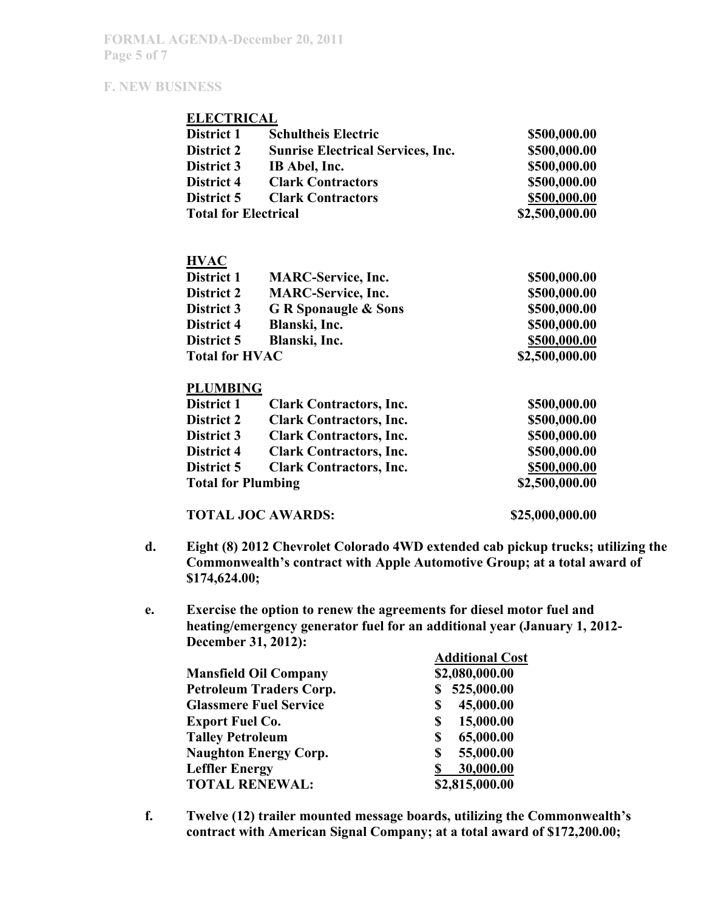#### **ELECTRICAL**

| District 1                  | <b>Schultheis Electric</b>               | \$500,000.00   |
|-----------------------------|------------------------------------------|----------------|
| <b>District 2</b>           | <b>Sunrise Electrical Services, Inc.</b> | \$500,000.00   |
| <b>District 3</b>           | IB Abel, Inc.                            | \$500,000.00   |
| District 4                  | <b>Clark Contractors</b>                 | \$500,000.00   |
| <b>District 5</b>           | <b>Clark Contractors</b>                 | \$500,000.00   |
| <b>Total for Electrical</b> |                                          | \$2,500,000.00 |

## **HVAC**

| District 1            | <b>MARC-Service, Inc.</b>       | \$500,000.00   |
|-----------------------|---------------------------------|----------------|
| <b>District 2</b>     | <b>MARC-Service, Inc.</b>       | \$500,000.00   |
| <b>District 3</b>     | <b>G R Sponaugle &amp; Sons</b> | \$500,000.00   |
| District 4            | Blanski, Inc.                   | \$500,000.00   |
| District 5            | Blanski, Inc.                   | \$500,000.00   |
| <b>Total for HVAC</b> |                                 | \$2,500,000.00 |

#### **PLUMBING**

| District 1                | <b>Clark Contractors, Inc.</b> | \$500,000.00   |
|---------------------------|--------------------------------|----------------|
| <b>District 2</b>         | <b>Clark Contractors, Inc.</b> | \$500,000.00   |
| District 3                | <b>Clark Contractors, Inc.</b> | \$500,000.00   |
| District 4                | <b>Clark Contractors, Inc.</b> | \$500,000.00   |
| District 5                | <b>Clark Contractors, Inc.</b> | \$500,000.00   |
| <b>Total for Plumbing</b> |                                | \$2,500,000.00 |
|                           |                                |                |

## **TOTAL JOC AWARDS: \$25,000,000.00**

- **d. Eight (8) 2012 Chevrolet Colorado 4WD extended cab pickup trucks; utilizing the Commonwealth's contract with Apple Automotive Group; at a total award of \$174,624.00;**
- **e. Exercise the option to renew the agreements for diesel motor fuel and heating/emergency generator fuel for an additional year (January 1, 2012- December 31, 2012):**

|                                | <b>Additional Cost</b> |
|--------------------------------|------------------------|
| <b>Mansfield Oil Company</b>   | \$2,080,000.00         |
| <b>Petroleum Traders Corp.</b> | 525,000.00             |
| <b>Glassmere Fuel Service</b>  | 45,000.00              |
| <b>Export Fuel Co.</b>         | 15,000.00<br>S         |
| <b>Talley Petroleum</b>        | 65,000.00<br>S         |
| <b>Naughton Energy Corp.</b>   | 55,000.00<br>S         |
| <b>Leffler Energy</b>          | 30,000.00              |
| <b>TOTAL RENEWAL:</b>          | \$2,815,000.00         |

**f. Twelve (12) trailer mounted message boards, utilizing the Commonwealth's contract with American Signal Company; at a total award of \$172,200.00;**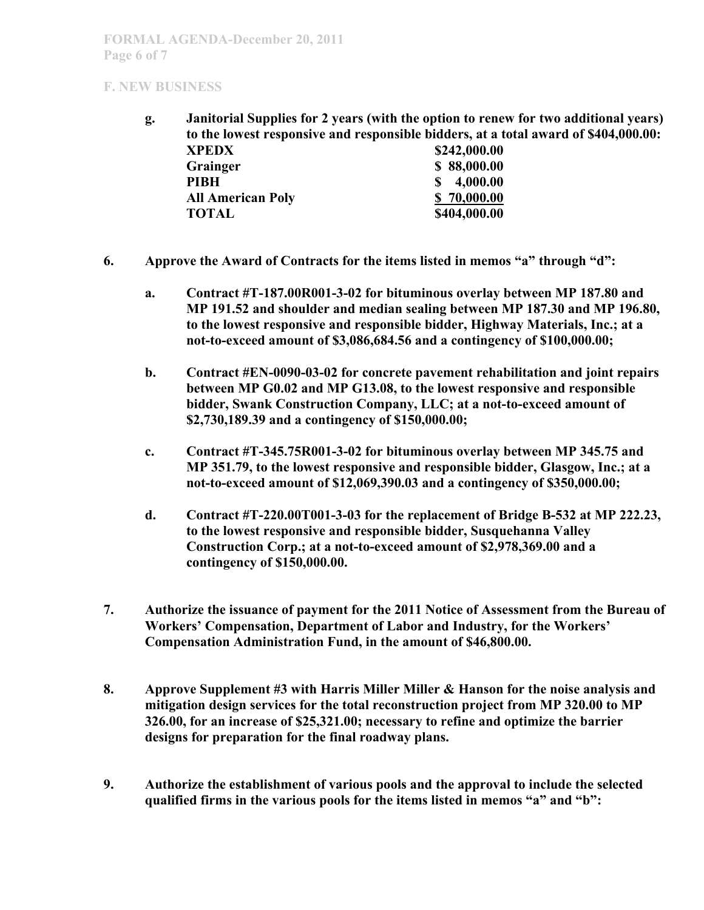**g. Janitorial Supplies for 2 years (with the option to renew for two additional years) to the lowest responsive and responsible bidders, at a total award of \$404,000.00: XPEDX \$242,000.00**

| _________    |
|--------------|
| \$88,000.00  |
| 4,000.00     |
| \$70,000.00  |
| \$404,000.00 |
|              |

- **6. Approve the Award of Contracts for the items listed in memos "a" through "d":**
	- **a. Contract #T-187.00R001-3-02 for bituminous overlay between MP 187.80 and MP 191.52 and shoulder and median sealing between MP 187.30 and MP 196.80, to the lowest responsive and responsible bidder, Highway Materials, Inc.; at a not-to-exceed amount of \$3,086,684.56 and a contingency of \$100,000.00;**
	- **b. Contract #EN-0090-03-02 for concrete pavement rehabilitation and joint repairs between MP G0.02 and MP G13.08, to the lowest responsive and responsible bidder, Swank Construction Company, LLC; at a not-to-exceed amount of \$2,730,189.39 and a contingency of \$150,000.00;**
	- **c. Contract #T-345.75R001-3-02 for bituminous overlay between MP 345.75 and MP 351.79, to the lowest responsive and responsible bidder, Glasgow, Inc.; at a not-to-exceed amount of \$12,069,390.03 and a contingency of \$350,000.00;**
	- **d. Contract #T-220.00T001-3-03 for the replacement of Bridge B-532 at MP 222.23, to the lowest responsive and responsible bidder, Susquehanna Valley Construction Corp.; at a not-to-exceed amount of \$2,978,369.00 and a contingency of \$150,000.00.**
- **7. Authorize the issuance of payment for the 2011 Notice of Assessment from the Bureau of Workers' Compensation, Department of Labor and Industry, for the Workers' Compensation Administration Fund, in the amount of \$46,800.00.**
- **8. Approve Supplement #3 with Harris Miller Miller & Hanson for the noise analysis and mitigation design services for the total reconstruction project from MP 320.00 to MP 326.00, for an increase of \$25,321.00; necessary to refine and optimize the barrier designs for preparation for the final roadway plans.**
- **9. Authorize the establishment of various pools and the approval to include the selected qualified firms in the various pools for the items listed in memos "a" and "b":**